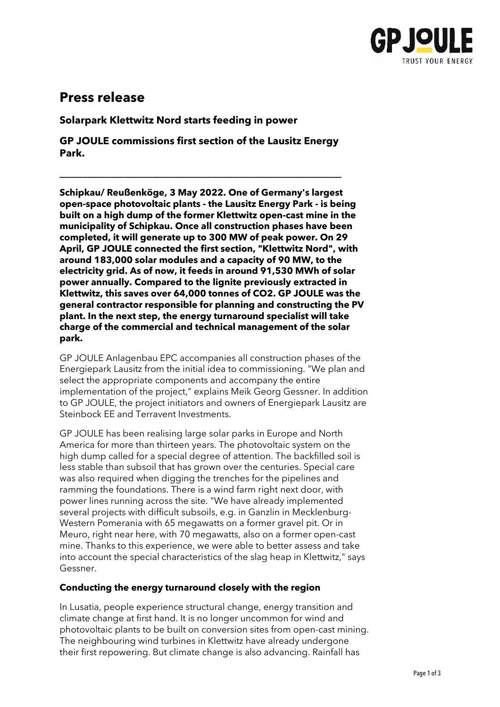

# **Press release**

**Solarpark Klettwitz Nord starts feeding in power**

**GP JOULE commissions first section of the Lausitz Energy Park.**

**\_\_\_\_\_\_\_\_\_\_\_\_\_\_\_\_\_\_\_\_\_\_\_\_\_\_\_\_\_\_\_\_\_\_\_\_\_\_\_\_\_\_\_\_\_\_\_\_\_\_\_\_\_\_\_\_\_\_\_\_\_**

**Schipkau/ Reußenköge, 3 May 2022. One of Germany's largest open-space photovoltaic plants - the Lausitz Energy Park - is being built on a high dump of the former Klettwitz open-cast mine in the municipality of Schipkau. Once all construction phases have been completed, it will generate up to 300 MW of peak power. On 29 April, GP JOULE connected the first section, "Klettwitz Nord", with around 183,000 solar modules and a capacity of 90 MW, to the electricity grid. As of now, it feeds in around 91,530 MWh of solar power annually. Compared to the lignite previously extracted in Klettwitz, this saves over 64,000 tonnes of CO2. GP JOULE was the general contractor responsible for planning and constructing the PV plant. In the next step, the energy turnaround specialist will take charge of the commercial and technical management of the solar park.** 

GP JOULE Anlagenbau EPC accompanies all construction phases of the Energiepark Lausitz from the initial idea to commissioning. "We plan and select the appropriate components and accompany the entire implementation of the project," explains Meik Georg Gessner. In addition to GP JOULE, the project initiators and owners of Energiepark Lausitz are Steinbock EE and Terravent Investments.

GP JOULE has been realising large solar parks in Europe and North America for more than thirteen years. The photovoltaic system on the high dump called for a special degree of attention. The backfilled soil is less stable than subsoil that has grown over the centuries. Special care was also required when digging the trenches for the pipelines and ramming the foundations. There is a wind farm right next door, with power lines running across the site. "We have already implemented several projects with difficult subsoils, e.g. in Ganzlin in Mecklenburg-Western Pomerania with 65 megawatts on a former gravel pit. Or in Meuro, right near here, with 70 megawatts, also on a former open-cast mine. Thanks to this experience, we were able to better assess and take into account the special characteristics of the slag heap in Klettwitz," says Gessner.

## **Conducting the energy turnaround closely with the region**

In Lusatia, people experience structural change, energy transition and climate change at first hand. It is no longer uncommon for wind and photovoltaic plants to be built on conversion sites from open-cast mining. The neighbouring wind turbines in Klettwitz have already undergone their first repowering. But climate change is also advancing. Rainfall has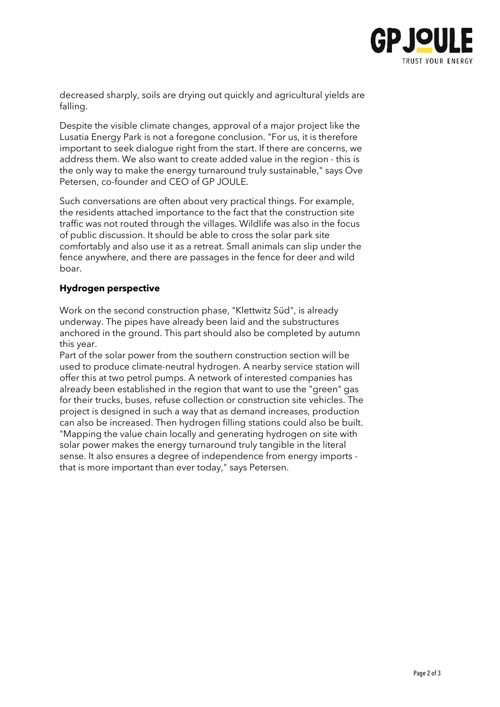

decreased sharply, soils are drying out quickly and agricultural yields are falling.

Despite the visible climate changes, approval of a major project like the Lusatia Energy Park is not a foregone conclusion. "For us, it is therefore important to seek dialogue right from the start. If there are concerns, we address them. We also want to create added value in the region - this is the only way to make the energy turnaround truly sustainable," says Ove Petersen, co-founder and CEO of GP JOULE.

Such conversations are often about very practical things. For example, the residents attached importance to the fact that the construction site traffic was not routed through the villages. Wildlife was also in the focus of public discussion. It should be able to cross the solar park site comfortably and also use it as a retreat. Small animals can slip under the fence anywhere, and there are passages in the fence for deer and wild boar.

## **Hydrogen perspective**

Work on the second construction phase, "Klettwitz Süd", is already underway. The pipes have already been laid and the substructures anchored in the ground. This part should also be completed by autumn this year.

Part of the solar power from the southern construction section will be used to produce climate-neutral hydrogen. A nearby service station will offer this at two petrol pumps. A network of interested companies has already been established in the region that want to use the "green" gas for their trucks, buses, refuse collection or construction site vehicles. The project is designed in such a way that as demand increases, production can also be increased. Then hydrogen filling stations could also be built. "Mapping the value chain locally and generating hydrogen on site with solar power makes the energy turnaround truly tangible in the literal sense. It also ensures a degree of independence from energy imports that is more important than ever today," says Petersen.